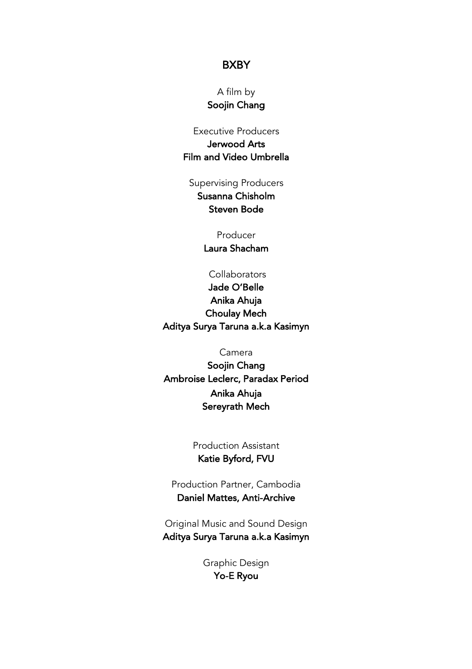## **BXBY**

A film by Soojin Chang

Executive Producers Jerwood Arts Film and Video Umbrella

Supervising Producers Susanna Chisholm Steven Bode

> Producer Laura Shacham

**Collaborators** Jade O'Belle Anika Ahuja Choulay Mech Aditya Surya Taruna a.k.a Kasimyn

Camera

Soojin Chang Ambroise Leclerc, Paradax Period Anika Ahuja Sereyrath Mech

> Production Assistant Katie Byford, FVU

Production Partner, Cambodia Daniel Mattes, Anti-Archive

Original Music and Sound Design Aditya Surya Taruna a.k.a Kasimyn

> Graphic Design Yo-E Ryou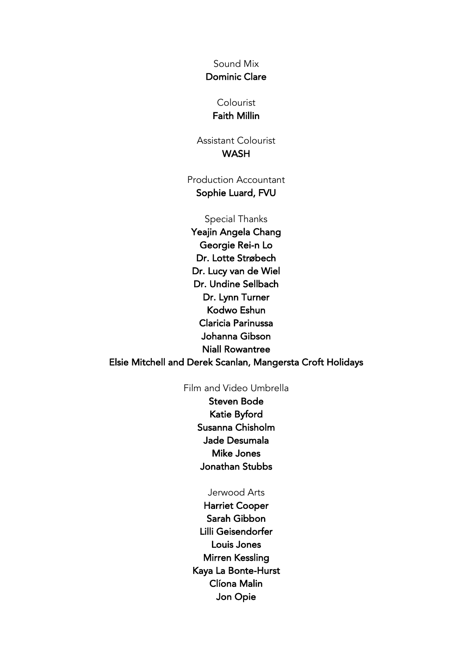Sound Mix Dominic Clare

## Colourist Faith Millin

Assistant Colourist **WASH** 

Production Accountant Sophie Luard, FVU

Special Thanks Yeajin Angela Chang Georgie Rei-n Lo Dr. Lotte Strøbech Dr. Lucy van de Wiel Dr. Undine Sellbach Dr. Lynn Turner Kodwo Eshun Claricia Parinussa Johanna Gibson Niall Rowantree Elsie Mitchell and Derek Scanlan, Mangersta Croft Holidays

## Film and Video Umbrella

Steven Bode Katie Byford Susanna Chisholm Jade Desumala Mike Jones Jonathan Stubbs

## Jerwood Arts

Harriet Cooper Sarah Gibbon Lilli Geisendorfer Louis Jones Mirren Kessling Kaya La Bonte-Hurst Clíona Malin Jon Opie